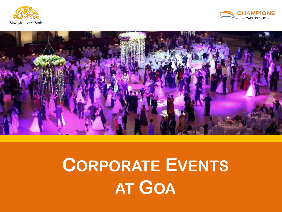



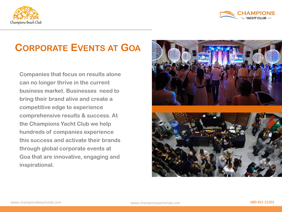



**Companies that focus on results alone can no longer thrive in the current business market. Businesses need to bring their brand alive and create a competitive edge to experience comprehensive results & success. At the Champions Yacht Club we help hundreds of companies experience this success and activate their brands through global corporate events at Goa that are innovative, engaging and inspirational.** 



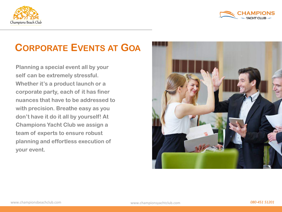



**Planning a special event all by your self can be extremely stressful. Whether it's a product launch or a corporate party, each of it has finer nuances that have to be addressed to with precision. Breathe easy as you don't have it do it all by yourself! At Champions Yacht Club we assign a team of experts to ensure robust planning and effortless execution of your event.** 

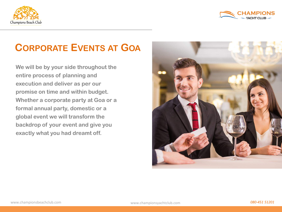



**We will be by your side throughout the entire process of planning and execution and deliver as per our promise on time and within budget. Whether a corporate party at Goa or a formal annual party, domestic or a global event we will transform the backdrop of your event and give you exactly what you had dreamt off.** 

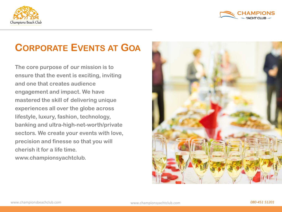



**The core purpose of our mission is to ensure that the event is exciting, inviting and one that creates audience engagement and impact. We have mastered the skill of delivering unique experiences all over the globe across lifestyle, luxury, fashion, technology, banking and ultra-high-net-worth/private sectors. We create your events with love, precision and finesse so that you will cherish it for a life time. www.championsyachtclub.**